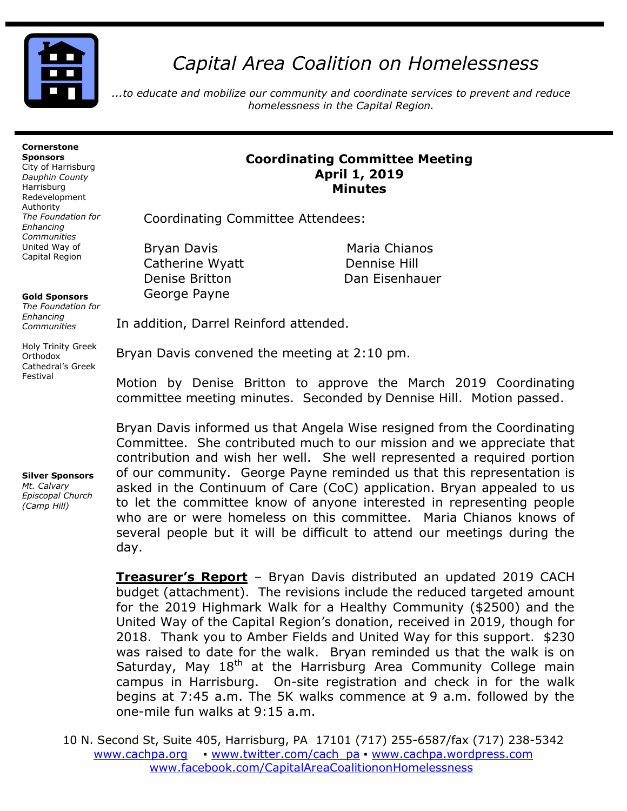

# *Capital Area Coalition on Homelessness*

*...to educate and mobilize our community and coordinate services to prevent and reduce homelessness in the Capital Region.*

#### **Cornerstone Sponsors**

City of Harrisburg *Dauphin County* Harrisburg Redevelopment Authority *The Foundation for Enhancing Communities* United Way of Capital Region

**Gold Sponsors** 

*The Foundation for Enhancing Communities*

Holy Trinity Greek Orthodox Cathedral's Greek Festival

#### **Silver Sponsors**  *Mt. Calvary Episcopal Church (Camp Hill)*

### **Coordinating Committee Meeting April 1, 2019 Minutes**

Coordinating Committee Attendees:

Bryan Davis **Maria Chianos** Catherine Wyatt Dennise Hill Denise Britton Dan Eisenhauer George Payne

In addition, Darrel Reinford attended.

Bryan Davis convened the meeting at 2:10 pm.

Motion by Denise Britton to approve the March 2019 Coordinating committee meeting minutes. Seconded by Dennise Hill. Motion passed.

Bryan Davis informed us that Angela Wise resigned from the Coordinating Committee. She contributed much to our mission and we appreciate that contribution and wish her well. She well represented a required portion of our community. George Payne reminded us that this representation is asked in the Continuum of Care (CoC) application. Bryan appealed to us to let the committee know of anyone interested in representing people who are or were homeless on this committee. Maria Chianos knows of several people but it will be difficult to attend our meetings during the day.

**Treasurer's Report** – Bryan Davis distributed an updated 2019 CACH budget (attachment). The revisions include the reduced targeted amount for the 2019 Highmark Walk for a Healthy Community (\$2500) and the United Way of the Capital Region's donation, received in 2019, though for 2018. Thank you to Amber Fields and United Way for this support. \$230 was raised to date for the walk. Bryan reminded us that the walk is on Saturday, May  $18<sup>th</sup>$  at the Harrisburg Area Community College main campus in Harrisburg. On-site registration and check in for the walk begins at 7:45 a.m. The 5K walks commence at 9 a.m. followed by the one-mile fun walks at 9:15 a.m.

10 N. Second St, Suite 405, Harrisburg, PA 17101 (717) 255-6587/fax (717) 238-5342 [www.cachpa.org](http://www.cachpa.org/) • [www.twitter.com/cach\\_pa](http://www.twitter.com/cach_pa) • [www.cachpa.wordpress.com](http://www.cachpa.wordpress.com/) [www.facebook.com/CapitalAreaCoalitiononHomelessness](http://www.facebook.com/CapitalAreaCoalitiononHomelessness)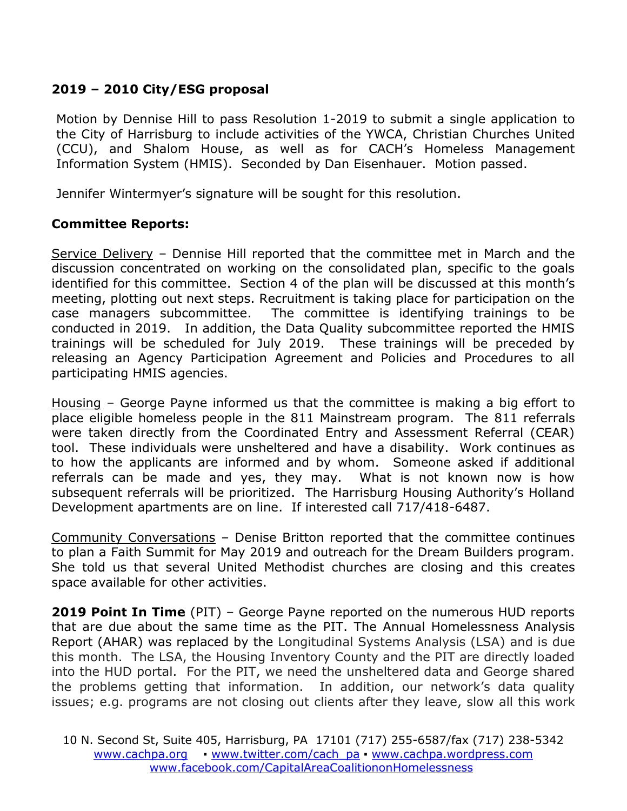## **2019 – 2010 City/ESG proposal**

Motion by Dennise Hill to pass Resolution 1-2019 to submit a single application to the City of Harrisburg to include activities of the YWCA, Christian Churches United (CCU), and Shalom House, as well as for CACH's Homeless Management Information System (HMIS). Seconded by Dan Eisenhauer. Motion passed.

Jennifer Wintermyer's signature will be sought for this resolution.

### **Committee Reports:**

Service Delivery – Dennise Hill reported that the committee met in March and the discussion concentrated on working on the consolidated plan, specific to the goals identified for this committee. Section 4 of the plan will be discussed at this month's meeting, plotting out next steps. Recruitment is taking place for participation on the case managers subcommittee. The committee is identifying trainings to be conducted in 2019. In addition, the Data Quality subcommittee reported the HMIS trainings will be scheduled for July 2019. These trainings will be preceded by releasing an Agency Participation Agreement and Policies and Procedures to all participating HMIS agencies.

Housing – George Payne informed us that the committee is making a big effort to place eligible homeless people in the 811 Mainstream program. The 811 referrals were taken directly from the Coordinated Entry and Assessment Referral (CEAR) tool. These individuals were unsheltered and have a disability. Work continues as to how the applicants are informed and by whom. Someone asked if additional referrals can be made and yes, they may. What is not known now is how subsequent referrals will be prioritized. The Harrisburg Housing Authority's Holland Development apartments are on line. If interested call 717/418-6487.

Community Conversations – Denise Britton reported that the committee continues to plan a Faith Summit for May 2019 and outreach for the Dream Builders program. She told us that several United Methodist churches are closing and this creates space available for other activities.

**2019 Point In Time** (PIT) – George Payne reported on the numerous HUD reports that are due about the same time as the PIT. The Annual Homelessness Analysis Report (AHAR) was replaced by the Longitudinal Systems Analysis (LSA) and is due this month. The LSA, the Housing Inventory County and the PIT are directly loaded into the HUD portal. For the PIT, we need the unsheltered data and George shared the problems getting that information. In addition, our network's data quality issues; e.g. programs are not closing out clients after they leave, slow all this work

10 N. Second St, Suite 405, Harrisburg, PA 17101 (717) 255-6587/fax (717) 238-5342 [www.cachpa.org](http://www.cachpa.org/) • [www.twitter.com/cach\\_pa](http://www.twitter.com/cach_pa) • [www.cachpa.wordpress.com](http://www.cachpa.wordpress.com/) [www.facebook.com/CapitalAreaCoalitiononHomelessness](http://www.facebook.com/CapitalAreaCoalitiononHomelessness)